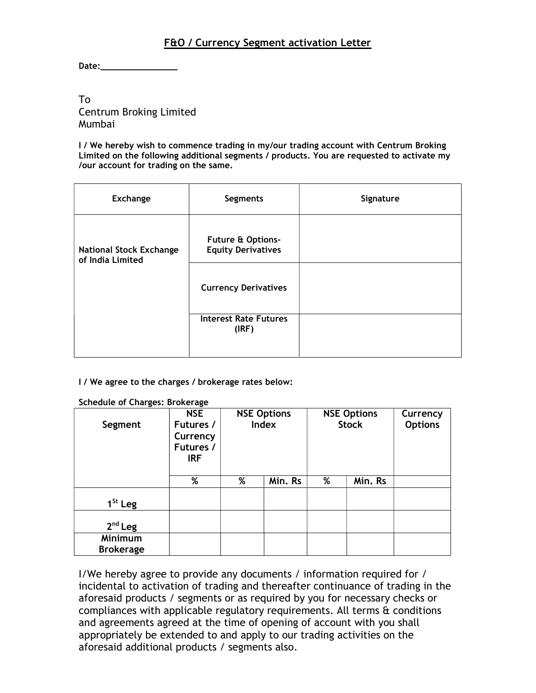## F&O / Currency Segment activation Letter

Date:\_\_\_\_\_\_\_\_\_\_\_\_\_\_\_

## To Centrum Broking Limited Mumbai

I / We hereby wish to commence trading in my/our trading account with Centrum Broking Limited on the following additional segments / products. You are requested to activate my /our account for trading on the same.

| <b>Exchange</b>                                    | <b>Segments</b>                                | Signature |
|----------------------------------------------------|------------------------------------------------|-----------|
| <b>National Stock Exchange</b><br>of India Limited | Future & Options-<br><b>Equity Derivatives</b> |           |
|                                                    | <b>Currency Derivatives</b>                    |           |
|                                                    | <b>Interest Rate Futures</b><br>(IRF)          |           |

I / We agree to the charges / brokerage rates below:

Schedule of Charges: Brokerage

| Segment                     | <b>NSE</b><br>Futures /<br>Currency<br>Futures /<br><b>IRF</b> |   | <b>NSE Options</b><br><b>Index</b> |   | <b>NSE Options</b><br><b>Stock</b> | Currency<br><b>Options</b> |
|-----------------------------|----------------------------------------------------------------|---|------------------------------------|---|------------------------------------|----------------------------|
|                             | %                                                              | % | Min. Rs                            | % | Min. Rs                            |                            |
| $1St$ Leg                   |                                                                |   |                                    |   |                                    |                            |
| $2nd$ Leg                   |                                                                |   |                                    |   |                                    |                            |
| Minimum<br><b>Brokerage</b> |                                                                |   |                                    |   |                                    |                            |

I/We hereby agree to provide any documents / information required for / incidental to activation of trading and thereafter continuance of trading in the aforesaid products / segments or as required by you for necessary checks or compliances with applicable regulatory requirements. All terms  $\alpha$  conditions and agreements agreed at the time of opening of account with you shall appropriately be extended to and apply to our trading activities on the aforesaid additional products / segments also.